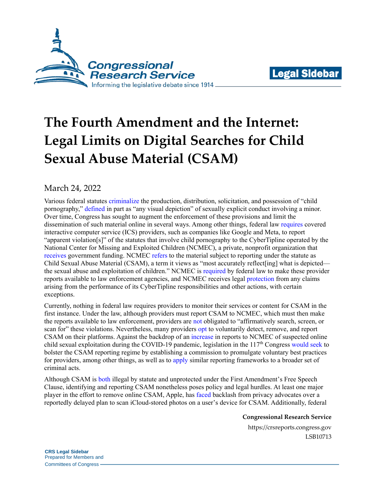



# **The Fourth Amendment and the Internet: Legal Limits on Digital Searches for Child Sexual Abuse Material (CSAM)**

## March 24, 2022

Various federal statutes [criminalize](https://uscode.house.gov/view.xhtml?req=granuleid:USC-prelim-title18-section2252A&num=0&edition=prelim) the production, distribution, solicitation, and possession of "child pornography," [defined](https://uscode.house.gov/view.xhtml?req=granuleid:USC-prelim-title18-section2256&num=0&edition=prelim) in part as "any visual depiction" of sexually explicit conduct involving a minor. Over time, Congress has sought to augment the enforcement of these provisions and limit the dissemination of such material online in several ways. Among other things, federal law [requires](https://uscode.house.gov/view.xhtml?req=granuleid:USC-prelim-title18-section2258A&num=0&edition=prelim) covered interactive computer service (ICS) providers, such as companies like Google and Meta, to report "apparent violation[s]" of the statutes that involve child pornography to the CyberTipline operated by the National Center for Missing and Exploited Children (NCMEC), a private, nonprofit organization that [receives](https://uscode.house.gov/view.xhtml?req=granuleid:USC-prelim-title34-section11293&num=0&edition=prelim) government funding. NCMEC [refers](https://www.missingkids.org/theissues/csam) to the material subject to reporting under the statute as Child Sexual Abuse Material (CSAM), a term it views as "most accurately reflect[ing] what is depicted the sexual abuse and exploitation of children." NCMEC is [required](https://uscode.house.gov/view.xhtml?req=granuleid:USC-prelim-title18-section2258A&num=0&edition=prelim) by federal law to make these provider reports available to law enforcement agencies, and NCMEC receives legal [protection](https://uscode.house.gov/view.xhtml?req=granuleid:USC-prelim-title18-section2258D&num=0&edition=prelim) from any claims arising from the performance of its CyberTipline responsibilities and other actions, with certain exceptions.

Currently, nothing in federal law requires providers to monitor their services or content for CSAM in the first instance. Under the law, although providers must report CSAM to NCMEC, which must then make the reports available to law enforcement, providers are [not](https://uscode.house.gov/view.xhtml?req=granuleid:USC-prelim-title18-section2258A&num=0&edition=prelim) obligated to "affirmatively search, screen, or scan for" these violations. Nevertheless, many providers [opt](https://transparencyreport.google.com/child-sexual-abuse-material/reporting?hl=en) to voluntarily detect, remove, and report CSAM on their platforms. Against the backdrop of an [increase](https://www.missingkids.org/gethelpnow/cybertipline) in reports to NCMEC of suspected online child sexual exploitation during the COVID-19 pandemic, legislation in the  $117<sup>th</sup>$  Congress [would](https://www.congress.gov/bill/117th-congress/senate-bill/3538?q=%7B%22search%22%3A%22exploited+children%22%7D&s=1&r=5) [seek](https://www.congress.gov/bill/117th-congress/house-bill/6544/text?q=%7B%22search%22%3A%22exploited+children%22%7D&r=2&s=1) to bolster the CSAM reporting regime by establishing a commission to promulgate voluntary best practices for providers, among other things, as well as to [apply](https://www.congress.gov/bill/117th-congress/senate-bill/27/text?q=%7B%22search%22%3A%22exploited+children%22%7D&r=26&s=1) similar reporting frameworks to a broader set of criminal acts.

Although CSAM is [both](https://crsreports.congress.gov/product/pdf/R/R47049) illegal by statute and unprotected under the First Amendment's Free Speech Clause, identifying and reporting CSAM nonetheless poses policy and legal hurdles. At least one major player in the effort to remove online CSAM, Apple, has [faced](https://techcrunch.com/2021/12/15/apple-removes-csam-detection-website/) backlash from privacy advocates over a reportedly delayed plan to scan iCloud-stored photos on a user's device for CSAM. Additionally, federal

**Congressional Research Service**

https://crsreports.congress.gov LSB10713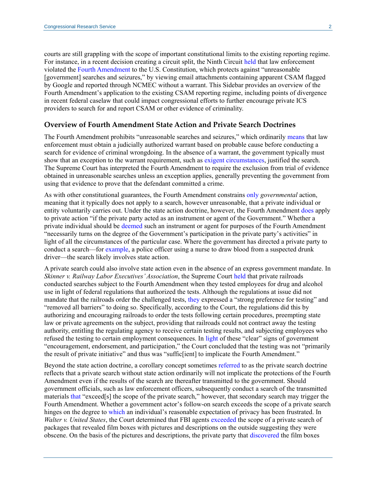courts are still grappling with the scope of important constitutional limits to the existing reporting regime. For instance, in a recent decision creating a circuit split, the Ninth Circuit [held](https://scholar.google.com/scholar_case?case=11340345949845130743&q=13+F.4th+961&hl=en&as_sdt=20006) that law enforcement violated the [Fourth Amendment](https://constitution.congress.gov/constitution/amendment-4/) to the U.S. Constitution, which protects against "unreasonable [government] searches and seizures," by viewing email attachments containing apparent CSAM flagged by Google and reported through NCMEC without a warrant. This Sidebar provides an overview of the Fourth Amendment's application to the existing CSAM reporting regime, including points of divergence in recent federal caselaw that could impact congressional efforts to further encourage private ICS providers to search for and report CSAM or other evidence of criminality.

#### **Overview of Fourth Amendment State Action and Private Search Doctrines**

The Fourth Amendment prohibits "unreasonable searches and seizures," which ordinarily [means](https://scholar.google.com/scholar_case?case=9210492700696416594&q=389+US+347&hl=en&as_sdt=20006#p357) that law enforcement must obtain a judicially authorized warrant based on probable cause before conducting a search for evidence of criminal wrongdoing. In the absence of a warrant, the government typically must show that an exception to the warrant requirement, such as [exigent circumstances,](https://www.supremecourt.gov/opinions/17pdf/16-402_h315.pdf#page=25) justified the search. The Supreme Court has interpreted the Fourth Amendment to require the exclusion from trial of evidence obtained in unreasonable searches unless an exception applies, generally preventing the government from using that evidence to prove that the defendant committed a crime.

As with other constitutional guarantees, the Fourth Amendment constrains [only](https://scholar.google.com/scholar_case?case=16573686290496533405&q=466+U.S.+109&hl=en&as_sdt=20006#p113) *governmental* action, meaning that it typically does not apply to a search, however unreasonable, that a private individual or entity voluntarily carries out. Under the state action doctrine, however, the Fourth Amendment [does](https://scholar.google.com/scholar_case?case=6102826977251195448&q=489+U.S.+602&hl=en&as_sdt=20006#p614) apply to private action "if the private party acted as an instrument or agent of the Government." Whether a private individual should be [deemed](https://scholar.google.com/scholar_case?case=6102826977251195448&q=489+U.S.+602&hl=en&as_sdt=20006#p614) such an instrument or agent for purposes of the Fourth Amendment "necessarily turns on the degree of the Government's participation in the private party's activities" in light of all the circumstances of the particular case. Where the government has directed a private party to conduct a search—for [example,](https://tile.loc.gov/storage-services/service/ll/usrep/usrep569/usrep569141/usrep569141.pdf#page=19) a police officer using a nurse to draw blood from a suspected drunk driver—the search likely involves state action.

A private search could also involve state action even in the absence of an express government mandate. In *Skinner v. Railway Labor Executives' Association*, the Supreme Court [held](https://scholar.google.com/scholar_case?case=6102826977251195448&q=489+U.S.+602&hl=en&as_sdt=20006#p615) that private railroads conducted searches subject to the Fourth Amendment when they tested employees for drug and alcohol use in light of federal regulations that authorized the tests. Although the regulations at issue did not mandate that the railroads order the challenged tests, [they](https://scholar.google.com/scholar_case?case=6102826977251195448&q=489+U.S.+602&hl=en&as_sdt=20006#p615) expressed a "strong preference for testing" and "removed all barriers" to doing so. Specifically, according to the Court, the regulations did this by authorizing and encouraging railroads to order the tests following certain procedures, preempting state law or private agreements on the subject, providing that railroads could not contract away the testing authority, entitling the regulating agency to receive certain testing results, and subjecting employees who refused the testing to certain employment consequences. In [light](https://scholar.google.com/scholar_case?case=6102826977251195448&q=489+U.S.+602&hl=en&as_sdt=20006#p615) of these "clear" signs of government "encouragement, endorsement, and participation," the Court concluded that the testing was not "primarily the result of private initiative" and thus was "suffic[ient] to implicate the Fourth Amendment."

Beyond the state action doctrine, a corollary concept sometimes [referred](https://scholar.google.com/scholar_case?case=16573686290496533405&q=466+U.S.+109&hl=en&as_sdt=20006#p130) to as the private search doctrine reflects that a private search without state action ordinarily will not implicate the protections of the Fourth Amendment even if the results of the search are thereafter transmitted to the government. Should government officials, such as law enforcement officers, subsequently conduct a search of the transmitted materials [that](https://scholar.google.com/scholar_case?case=16573686290496533405&q=466+U.S.+109&hl=en&as_sdt=20006#p115) "exceed[s] the scope of the private search," however, that secondary search may trigger the Fourth Amendment. Whether a government actor's follow-on search exceeds the scope of a private search hinges on the degree to [which](https://scholar.google.com/scholar_case?case=16573686290496533405&q=466+U.S.+109&hl=en&as_sdt=20006#p117) an individual's reasonable expectation of privacy has been frustrated. In *Walter v. United States*, the Court determined that FBI agents [exceeded](https://scholar.google.com/scholar_case?case=1362312177001635968&q=447+U.S.+649&hl=en&as_sdt=20006#p659) the scope of a private search of packages that revealed film boxes with pictures and descriptions on the outside suggesting they were obscene. On the basis of the pictures and descriptions, the private party that [discovered](https://scholar.google.com/scholar_case?case=1362312177001635968&q=447+U.S.+649&hl=en&as_sdt=20006#p652) the film boxes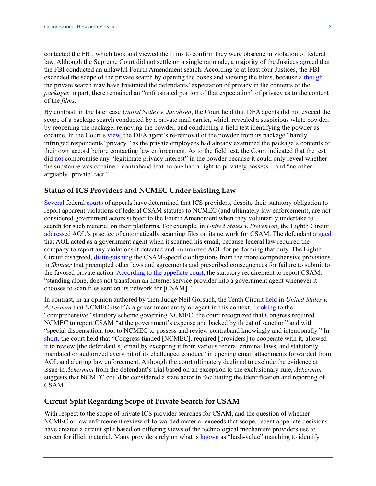contacted the FBI, which took and viewed the films to confirm they were obscene in violation of federal law. Although the Supreme Court did not settle on a single rationale, a majority of the Justices [agreed](https://scholar.google.com/scholar_case?case=1362312177001635968&q=447+U.S.+649&hl=en&as_sdt=20006#p659) that the FBI conducted an unlawful Fourth Amendment search. According to at least four Justices, the FBI exceeded the scope of the private search by opening the boxes and viewing the films, because [although](https://scholar.google.com/scholar_case?case=1362312177001635968&q=447+U.S.+649&hl=en&as_sdt=20006#p659) the private search may have frustrated the defendants' expectation of privacy in the contents of the *packages* in part, there remained an "unfrustrated portion of that expectation" of privacy as to the content of the *films*.

By contrast, in the later case *United States v. Jacobsen*, the Court held that DEA agents did [not](https://scholar.google.com/scholar_case?case=16573686290496533405&q=466+U.S.+109&hl=en&as_sdt=20006#p123) exceed the scope of a package search conducted by a private mail carrier, which revealed a suspicious white powder, by reopening the package, removing the powder, and conducting a field test identifying the powder as cocaine. In the Court's [view,](https://scholar.google.com/scholar_case?case=16573686290496533405&q=466+U.S.+109&hl=en&as_sdt=20006#p119) the DEA agent's re-removal of the powder from its package "hardly infringed respondents' privacy," as the private employees had already examined the package's contents of their own accord before contacting law enforcement. As to the field test, the Court indicated that the test did [not](https://scholar.google.com/scholar_case?case=16573686290496533405&q=466+U.S.+109&hl=en&as_sdt=20006#p123) compromise any "legitimate privacy interest" in the powder because it could only reveal whether the substance was cocaine—contraband that no one had a right to privately possess—and "no other arguably 'private' fact."

#### **Status of ICS Providers and NCMEC Under Existing Law**

[Several](https://scholar.google.com/scholar_case?case=16134683006980709179&q=982+F.3d+412&hl=en&as_sdt=20006#p426) federal [courts](https://scholar.google.com/scholar_case?case=9833637484307428476&q=4+F.4th+551&hl=en&as_sdt=20006#p562) of appeals have determined that ICS providers, despite their statutory obligation to report apparent violations of federal CSAM statutes to NCMEC (and ultimately law enforcement), are not considered government actors subject to the Fourth Amendment when they voluntarily undertake to search for such material on their platforms. For example, in *United States v. Stevenson*, the Eighth Circuit [addressed](https://scholar.google.com/scholar_case?case=18149418970787064900&q=727+F.3d+826&hl=en&as_sdt=20006#p828) AOL's practice of automatically scanning files on its network for CSAM. The defendant [argued](https://scholar.google.com/scholar_case?case=18149418970787064900&q=727+F.3d+826&hl=en&as_sdt=20006#p829) that AOL acted as a government agent when it scanned his email, because federal law required the company to report any violations it detected and immunized AOL for performing that duty. The Eighth Circuit disagreed, [distinguishing](https://scholar.google.com/scholar_case?case=18149418970787064900&q=727+F.3d+826&hl=en&as_sdt=20006#p830) the CSAM-specific obligations from the more comprehensive provisions in *Skinner* that preempted other laws and agreements and prescribed consequences for failure to submit to the favored private action[. According to](https://scholar.google.com/scholar_case?case=18149418970787064900&q=727+F.3d+826&hl=en&as_sdt=20006#p830) the appellate court, the statutory requirement to report CSAM, "standing alone, does not transform an Internet service provider into a government agent whenever it chooses to scan files sent on its network for [CSAM]."

In contrast, in an opinion authored by then-Judge Neil Gorsuch, the Tenth Circuit [held](https://scholar.google.com/scholar_case?case=11370535787143803280&q=831+F.3d+1292&hl=en&as_sdt=20006#p1295) in *United States v. Ackerman* that NCMEC itself *is* a government entity or agent in this context. [Looking](https://scholar.google.com/scholar_case?case=11370535787143803280&q=831+F.3d+1292&hl=en&as_sdt=20006#p1302) to the "comprehensive" statutory scheme governing NCMEC, the court recognized that Congress required NCMEC to report CSAM "at the government's expense and backed by threat of sanction" and with "special dispensation, too, to NCMEC to possess and review contraband knowingly and intentionally." In [short,](https://scholar.google.com/scholar_case?case=11370535787143803280&q=831+F.3d+1292&hl=en&as_sdt=20006#p1302) the court held that "Congress funded [NCMEC], required [providers] to cooperate with it, allowed it to review [the defendant's] email by excepting it from various federal criminal laws, and statutorily mandated or authorized every bit of its challenged conduct" in opening email attachments forwarded from AOL and alerting law enforcement. Although the court ultimately [declined](https://scholar.google.com/scholar_case?case=15547708151587148156&q=united+states+v.+ackerman&hl=en&as_sdt=20006&as_ylo=2015&as_yhi=2022) to exclude the evidence at issue in *Ackerman* from the defendant's trial based on an exception to the exclusionary rule, *Ackerman*  suggests that NCMEC could be considered a state actor in facilitating the identification and reporting of CSAM.

#### **Circuit Split Regarding Scope of Private Search for CSAM**

With respect to the scope of private ICS provider searches for CSAM, and the question of whether NCMEC or law enforcement review of forwarded material exceeds that scope, recent appellate decisions have created a circuit split based on differing views of the technological mechanism providers use to screen for illicit material. Many providers rely on what is [known](https://scholar.google.com/scholar_case?case=16134683006980709179&q=982+F.3d+412&hl=en&as_sdt=20006#p418) as "hash-value" matching to identify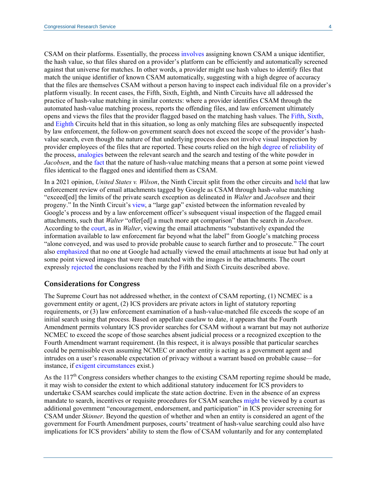CSAM on their platforms. Essentially, the process [involves](https://scholar.google.com/scholar_case?case=16134683006980709179&q=982+F.3d+412&hl=en&as_sdt=20006#p416) assigning known CSAM a unique identifier, the hash value, so that files shared on a provider's platform can be efficiently and automatically screened against that universe for matches. In other words, a provider might use hash values to identify files that match the unique identifier of known CSAM automatically, suggesting with a high degree of accuracy that the files are themselves CSAM without a person having to inspect each individual file on a provider's platform visually. In recent cases, the Fifth, Sixth, Eighth, and Ninth Circuits have all addressed the practice of hash-value matching in similar contexts: where a provider identifies CSAM through the automated hash-value matching process, reports the offending files, and law enforcement ultimately opens and views the files that the provider flagged based on the matching hash values. The [Fifth,](https://scholar.google.com/scholar_case?case=10785959132623429774&q=900+F.3d+636&hl=en&as_sdt=20006#p640) [Sixth,](https://scholar.google.com/scholar_case?case=16134683006980709179&q=982+F.3d+412&hl=en&as_sdt=20006#p430) and [Eighth](https://scholar.google.com/scholar_case?case=5997941847681231461&q=966+F.3d+731&hl=en&as_sdt=20006#p737) Circuits held that in this situation, so long as only matching files are subsequently inspected by law enforcement, the follow-on government search does not exceed the scope of the provider's hashvalue search, even though the nature of that underlying process does not involve visual inspection by provider employees of the files that are reported. These courts relied on the high [degree](https://scholar.google.com/scholar_case?case=10785959132623429774&q=900+F.3d+636&hl=en&as_sdt=20006#p639) of [reliability](https://scholar.google.com/scholar_case?case=16134683006980709179&q=982+F.3d+412&hl=en&as_sdt=20006#p430) of the process, [analogies](https://scholar.google.com/scholar_case?case=10785959132623429774&q=900+F.3d+636&hl=en&as_sdt=20006#p639) between the relevant search and the search and testing of the white powder in *Jacobsen*, and the [fact](https://scholar.google.com/scholar_case?case=16134683006980709179&q=982+F.3d+412&hl=en&as_sdt=20006#p431) that the nature of hash-value matching means that a person at some point viewed files identical to the flagged ones and identified them as CSAM.

In a 2021 opinion, *United States v. Wilson*, the Ninth Circuit split from the other circuits and [held](https://scholar.google.com/scholar_case?case=11340345949845130743&q=13+F.4th+961&hl=en&as_sdt=20006#p971) that law enforcement review of email attachments tagged by Google as CSAM through hash-value matching "exceed[ed] the limits of the private search exception as delineated in *Walter* and *Jacobsen* and their progeny." In the Ninth Circuit's [view,](https://scholar.google.com/scholar_case?case=11340345949845130743&q=13+F.4th+961&hl=en&as_sdt=20006#p973) a "large gap" existed between the information revealed by Google's process and by a law enforcement officer's subsequent visual inspection of the flagged email attachments, such that *Walter* "offer[ed] a much more apt comparison" than the search in *Jacobsen*. According to the [court,](https://scholar.google.com/scholar_case?case=11340345949845130743&q=13+F.4th+961&hl=en&as_sdt=20006#p973) as in *Walter*, viewing the email attachments "substantively expanded the information available to law enforcement far beyond what the label" from Google's matching process "alone conveyed, and was used to provide probable cause to search further and to prosecute." The court also [emphasized](https://scholar.google.com/scholar_case?case=11340345949845130743&q=13+F.4th+961&hl=en&as_sdt=20006#p974) that no one at Google had actually viewed the email attachments at issue but had only at some point viewed images that were then matched with the images in the attachments. The court expressly [rejected](https://scholar.google.com/scholar_case?case=11340345949845130743&q=13+F.4th+961&hl=en&as_sdt=20006#p978) the conclusions reached by the Fifth and Sixth Circuits described above.

#### **Considerations for Congress**

The Supreme Court has not addressed whether, in the context of CSAM reporting, (1) NCMEC is a government entity or agent, (2) ICS providers are private actors in light of statutory reporting requirements, or (3) law enforcement examination of a hash-value-matched file exceeds the scope of an initial search using that process. Based on appellate caselaw to date, it appears that the Fourth Amendment permits voluntary ICS provider searches for CSAM without a warrant but may not authorize NCMEC to exceed the scope of those searches absent judicial process or a recognized exception to the Fourth Amendment warrant requirement. (In this respect, it is always possible that particular searches could be permissible even assuming NCMEC or another entity is acting as a government agent and intrudes on a user's reasonable expectation of privacy without a warrant based on probable cause—for instance, if [exigent circumstances](https://www.supremecourt.gov/opinions/17pdf/16-402_h315.pdf#page=25) exist.)

As the  $117<sup>th</sup>$  Congress considers whether changes to the existing CSAM reporting regime should be made, it may wish to consider the extent to which additional statutory inducement for ICS providers to undertake CSAM searches could implicate the state action doctrine. Even in the absence of an express mandate to search, incentives or requisite procedures for CSAM searches [might](https://scholar.google.com/scholar_case?case=6102826977251195448&q=489+U.S.+602&hl=en&as_sdt=20006#p615) be viewed by a court as additional government "encouragement, endorsement, and participation" in ICS provider screening for CSAM under *Skinner*. Beyond the question of whether and when an entity is considered an agent of the government for Fourth Amendment purposes, courts' treatment of hash-value searching could also have implications for ICS providers' ability to stem the flow of CSAM voluntarily and for any contemplated